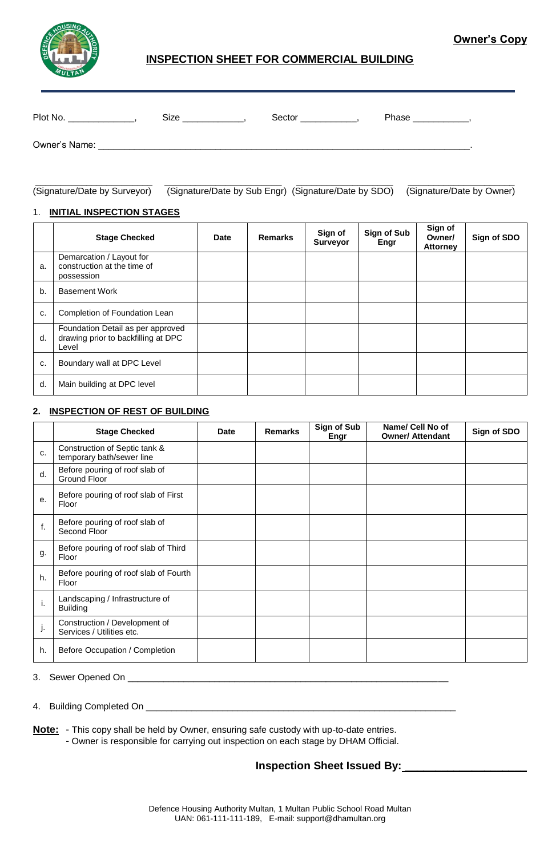

# **Owner's Copy**

# **INSPECTION SHEET FOR COMMERCIAL BUILDING**

| Plot No.      | Size | Sector | Phase |
|---------------|------|--------|-------|
| Owner's Name: |      |        |       |

\_\_\_\_\_\_\_\_\_\_\_\_\_\_\_\_\_\_\_\_\_\_\_ \_\_\_\_\_\_\_\_\_\_\_\_\_\_\_\_\_\_\_\_\_\_\_ \_\_\_\_\_\_\_\_\_\_\_\_\_\_\_\_\_\_\_ \_\_\_\_\_\_\_\_\_\_\_\_\_\_\_\_\_\_\_\_\_ (Signature/Date by Surveyor) (Signature/Date by Sub Engr) (Signature/Date by SDO) (Signature/Date by Owner)

#### 1. **INITIAL INSPECTION STAGES**

|    | <b>Stage Checked</b>                                                              | <b>Date</b> | <b>Remarks</b> | Sign of<br><b>Surveyor</b> | Sign of Sub<br>Engr | Sign of<br>Owner/<br><b>Attorney</b> | Sign of SDO |
|----|-----------------------------------------------------------------------------------|-------------|----------------|----------------------------|---------------------|--------------------------------------|-------------|
| a. | Demarcation / Layout for<br>construction at the time of<br>possession             |             |                |                            |                     |                                      |             |
| b. | <b>Basement Work</b>                                                              |             |                |                            |                     |                                      |             |
| c. | Completion of Foundation Lean                                                     |             |                |                            |                     |                                      |             |
| d. | Foundation Detail as per approved<br>drawing prior to backfilling at DPC<br>Level |             |                |                            |                     |                                      |             |
| c. | Boundary wall at DPC Level                                                        |             |                |                            |                     |                                      |             |
| d. | Main building at DPC level                                                        |             |                |                            |                     |                                      |             |

## **2. INSPECTION OF REST OF BUILDING**

|    | <b>Stage Checked</b>                                       | <b>Date</b> | <b>Remarks</b> | Sign of Sub<br>Engr | Name/ Cell No of<br><b>Owner/ Attendant</b> | Sign of SDO |
|----|------------------------------------------------------------|-------------|----------------|---------------------|---------------------------------------------|-------------|
| C. | Construction of Septic tank &<br>temporary bath/sewer line |             |                |                     |                                             |             |
| d. | Before pouring of roof slab of<br>Ground Floor             |             |                |                     |                                             |             |
| е. | Before pouring of roof slab of First<br>Floor              |             |                |                     |                                             |             |
| f. | Before pouring of roof slab of<br>Second Floor             |             |                |                     |                                             |             |
| g. | Before pouring of roof slab of Third<br>Floor              |             |                |                     |                                             |             |
| h. | Before pouring of roof slab of Fourth<br>Floor             |             |                |                     |                                             |             |
| i. | Landscaping / Infrastructure of<br><b>Building</b>         |             |                |                     |                                             |             |
| j. | Construction / Development of<br>Services / Utilities etc. |             |                |                     |                                             |             |
| h. | Before Occupation / Completion                             |             |                |                     |                                             |             |

#### 3. Sewer Opened On \_\_

4. Building Completed On \_\_\_\_\_

**Note:** - This copy shall be held by Owner, ensuring safe custody with up-to-date entries.

- Owner is responsible for carrying out inspection on each stage by DHAM Official.

**Inspection Sheet Issued By: \_\_\_\_\_\_\_\_\_\_\_\_\_\_\_\_\_\_\_\_**